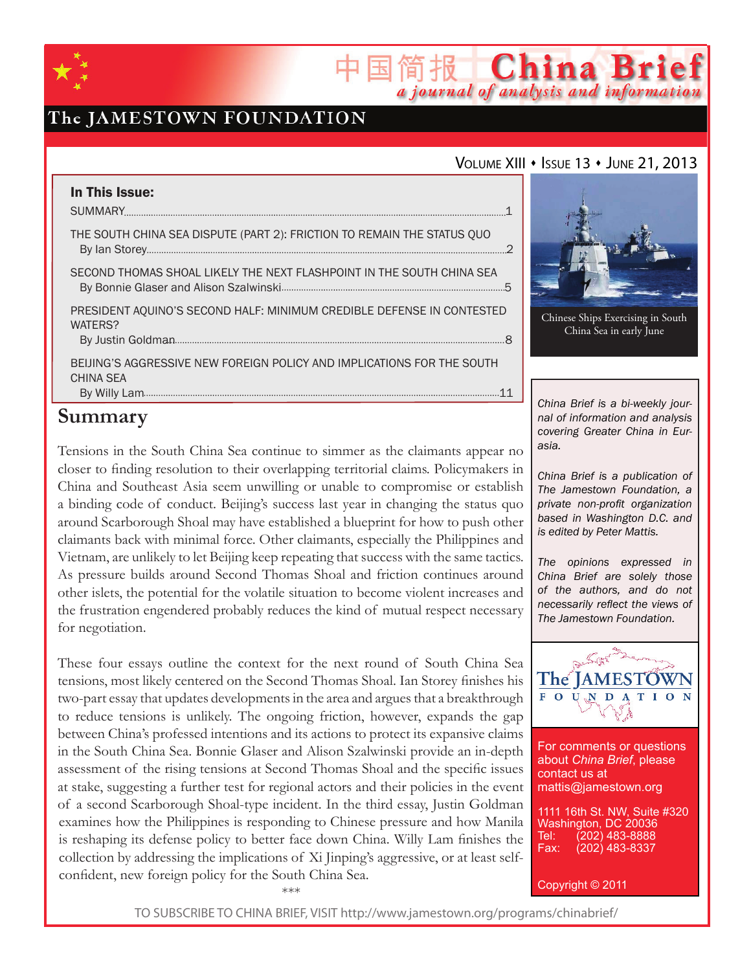

# The JAMESTOWN FOUNDATION

### VOLUME XIII • ISSUE 13 • JUNE 21, 2013

简报 China Brief

a journal of analysis and information

| In This Issue:                                                                             |  |
|--------------------------------------------------------------------------------------------|--|
| THE SOUTH CHINA SEA DISPUTE (PART 2): FRICTION TO REMAIN THE STATUS QUO                    |  |
| SECOND THOMAS SHOAL LIKELY THE NEXT FLASHPOINT IN THE SOUTH CHINA SEA                      |  |
| PRESIDENT AQUINO'S SECOND HALF: MINIMUM CREDIBLE DEFENSE IN CONTESTED<br>WATERS?           |  |
| BEIJING'S AGGRESSIVE NEW FOREIGN POLICY AND IMPLICATIONS FOR THE SOUTH<br><b>CHINA SEA</b> |  |
|                                                                                            |  |

# **Summary**

Tensions in the South China Sea continue to simmer as the claimants appear no closer to finding resolution to their overlapping territorial claims. Policymakers in China and Southeast Asia seem unwilling or unable to compromise or establish a binding code of conduct. Beijing's success last year in changing the status quo around Scarborough Shoal may have established a blueprint for how to push other claimants back with minimal force. Other claimants, especially the Philippines and Vietnam, are unlikely to let Beijing keep repeating that success with the same tactics. As pressure builds around Second Thomas Shoal and friction continues around other islets, the potential for the volatile situation to become violent increases and the frustration engendered probably reduces the kind of mutual respect necessary for negotiation.

These four essays outline the context for the next round of South China Sea tensions, most likely centered on the Second Thomas Shoal. Ian Storey finishes his two-part essay that updates developments in the area and argues that a breakthrough to reduce tensions is unlikely. The ongoing friction, however, expands the gap between China's professed intentions and its actions to protect its expansive claims in the South China Sea. Bonnie Glaser and Alison Szalwinski provide an in-depth assessment of the rising tensions at Second Thomas Shoal and the specific issues at stake, suggesting a further test for regional actors and their policies in the event of a second Scarborough Shoal-type incident. In the third essay, Justin Goldman examines how the Philippines is responding to Chinese pressure and how Manila is reshaping its defense policy to better face down China. Willy Lam finishes the collection by addressing the implications of Xi Jinping's aggressive, or at least selfconfident, new foreign policy for the South China Sea.

\*\*\*



Chinese Ships Exercising in South China Sea in early June

*China Brief is a bi-weekly journal of information and analysis covering Greater China in Eurasia.* 

*China Brief is a publication of The Jamestown Foundation, a private non-profit organization based in Washington D.C. and is edited by Peter Mattis.*

*The opinions expressed in China Brief are solely those of the authors, and do not necessarily reflect the views of The Jamestown Foundation.*



For comments or questions about *China Brief*, please contact us at mattis@jamestown.org

1111 16th St. NW, Suite #320 Washington, DC 20036<br>Tel: (202) 483-8888 Tel: (202) 483-8888<br>Fax: (202) 483-8337 (202) 483-8337

Copyright © 2011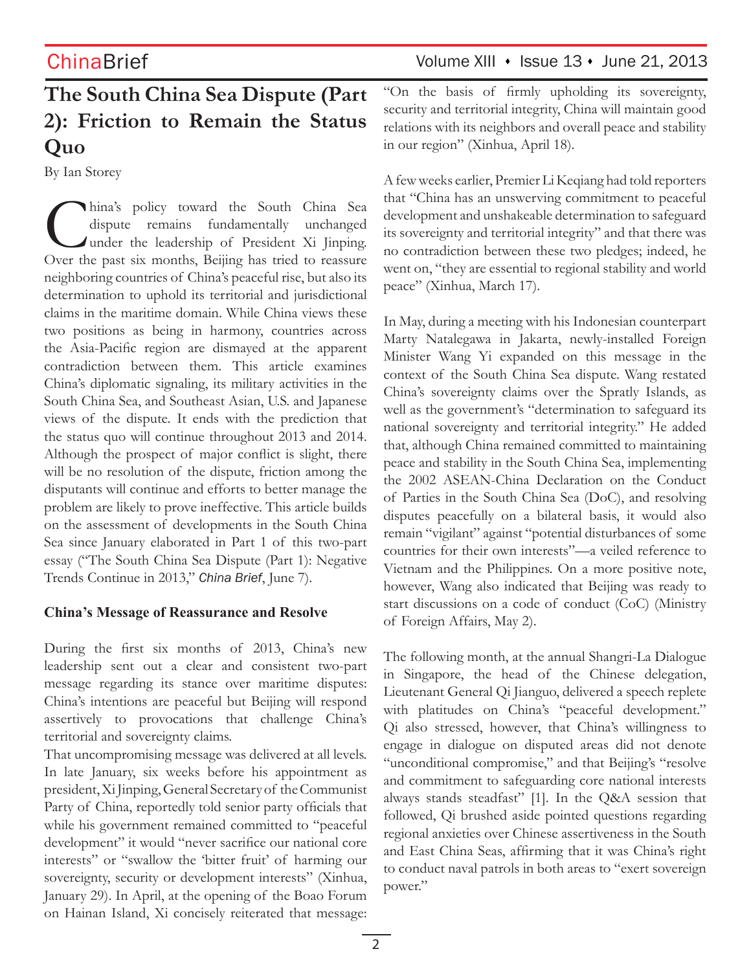# **The South China Sea Dispute (Part 2): Friction to Remain the Status Quo**

By Ian Storey

China's policy toward the South China Sea<br>dispute remains fundamentally unchanged<br>under the leadership of President Xi Jinping.<br>Over the past six months. Beijing has tried to reassure dispute remains fundamentally unchanged under the leadership of President Xi Jinping. Over the past six months, Beijing has tried to reassure neighboring countries of China's peaceful rise, but also its determination to uphold its territorial and jurisdictional claims in the maritime domain. While China views these two positions as being in harmony, countries across the Asia-Pacific region are dismayed at the apparent contradiction between them. This article examines China's diplomatic signaling, its military activities in the South China Sea, and Southeast Asian, U.S. and Japanese views of the dispute. It ends with the prediction that the status quo will continue throughout 2013 and 2014. Although the prospect of major conflict is slight, there will be no resolution of the dispute, friction among the disputants will continue and efforts to better manage the problem are likely to prove ineffective. This article builds on the assessment of developments in the South China Sea since January elaborated in Part 1 of this two-part essay ("The South China Sea Dispute (Part 1): Negative Trends Continue in 2013," *China Brief*, June 7).

### **China's Message of Reassurance and Resolve**

During the first six months of 2013, China's new leadership sent out a clear and consistent two-part message regarding its stance over maritime disputes: China's intentions are peaceful but Beijing will respond assertively to provocations that challenge China's territorial and sovereignty claims.

That uncompromising message was delivered at all levels. In late January, six weeks before his appointment as president, Xi Jinping, General Secretary of the Communist Party of China, reportedly told senior party officials that while his government remained committed to "peaceful development" it would "never sacrifice our national core interests" or "swallow the 'bitter fruit' of harming our sovereignty, security or development interests" (Xinhua, January 29). In April, at the opening of the Boao Forum on Hainan Island, Xi concisely reiterated that message:

# ChinaBrief Volume XIII • Issue 13 • June 21, 2013

"On the basis of firmly upholding its sovereignty, security and territorial integrity, China will maintain good relations with its neighbors and overall peace and stability in our region" (Xinhua, April 18).

A few weeks earlier, Premier Li Keqiang had told reporters that "China has an unswerving commitment to peaceful development and unshakeable determination to safeguard its sovereignty and territorial integrity" and that there was no contradiction between these two pledges; indeed, he went on, "they are essential to regional stability and world peace" (Xinhua, March 17).

In May, during a meeting with his Indonesian counterpart Marty Natalegawa in Jakarta, newly-installed Foreign Minister Wang Yi expanded on this message in the context of the South China Sea dispute. Wang restated China's sovereignty claims over the Spratly Islands, as well as the government's "determination to safeguard its national sovereignty and territorial integrity." He added that, although China remained committed to maintaining peace and stability in the South China Sea, implementing the 2002 ASEAN-China Declaration on the Conduct of Parties in the South China Sea (DoC), and resolving disputes peacefully on a bilateral basis, it would also remain "vigilant" against "potential disturbances of some countries for their own interests"—a veiled reference to Vietnam and the Philippines. On a more positive note, however, Wang also indicated that Beijing was ready to start discussions on a code of conduct (CoC) (Ministry of Foreign Affairs, May 2).

The following month, at the annual Shangri-La Dialogue in Singapore, the head of the Chinese delegation, Lieutenant General Qi Jianguo, delivered a speech replete with platitudes on China's "peaceful development." Qi also stressed, however, that China's willingness to engage in dialogue on disputed areas did not denote "unconditional compromise," and that Beijing's "resolve and commitment to safeguarding core national interests always stands steadfast" [1]. In the Q&A session that followed, Qi brushed aside pointed questions regarding regional anxieties over Chinese assertiveness in the South and East China Seas, affirming that it was China's right to conduct naval patrols in both areas to "exert sovereign power."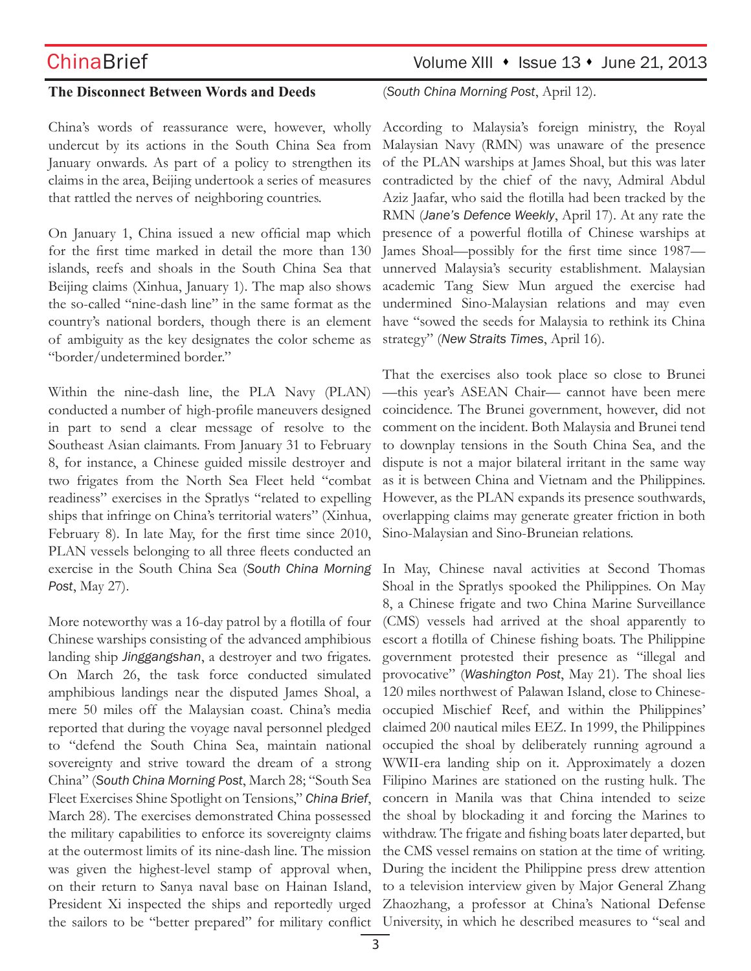### **The Disconnect Between Words and Deeds**

China's words of reassurance were, however, wholly undercut by its actions in the South China Sea from January onwards. As part of a policy to strengthen its claims in the area, Beijing undertook a series of measures that rattled the nerves of neighboring countries.

On January 1, China issued a new official map which for the first time marked in detail the more than 130 islands, reefs and shoals in the South China Sea that Beijing claims (Xinhua, January 1). The map also shows the so-called "nine-dash line" in the same format as the country's national borders, though there is an element of ambiguity as the key designates the color scheme as "border/undetermined border."

Within the nine-dash line, the PLA Navy (PLAN) conducted a number of high-profile maneuvers designed in part to send a clear message of resolve to the Southeast Asian claimants. From January 31 to February 8, for instance, a Chinese guided missile destroyer and two frigates from the North Sea Fleet held "combat readiness" exercises in the Spratlys "related to expelling ships that infringe on China's territorial waters" (Xinhua, February 8). In late May, for the first time since 2010, PLAN vessels belonging to all three fleets conducted an exercise in the South China Sea (*South China Morning Post*, May 27).

More noteworthy was a 16-day patrol by a flotilla of four Chinese warships consisting of the advanced amphibious landing ship *Jinggangshan*, a destroyer and two frigates. On March 26, the task force conducted simulated amphibious landings near the disputed James Shoal, a mere 50 miles off the Malaysian coast. China's media reported that during the voyage naval personnel pledged to "defend the South China Sea, maintain national sovereignty and strive toward the dream of a strong China" (*South China Morning Post*, March 28; "South Sea Fleet Exercises Shine Spotlight on Tensions," *China Brief*, March 28). The exercises demonstrated China possessed the military capabilities to enforce its sovereignty claims at the outermost limits of its nine-dash line. The mission was given the highest-level stamp of approval when, on their return to Sanya naval base on Hainan Island, President Xi inspected the ships and reportedly urged

# $ChinaBrief$  Volume XIII  $\cdot$  Issue 13  $\cdot$  June 21, 2013

(*South China Morning Post*, April 12).

According to Malaysia's foreign ministry, the Royal Malaysian Navy (RMN) was unaware of the presence of the PLAN warships at James Shoal, but this was later contradicted by the chief of the navy, Admiral Abdul Aziz Jaafar, who said the flotilla had been tracked by the RMN (*Jane's Defence Weekly*, April 17). At any rate the presence of a powerful flotilla of Chinese warships at James Shoal—possibly for the first time since 1987 unnerved Malaysia's security establishment. Malaysian academic Tang Siew Mun argued the exercise had undermined Sino-Malaysian relations and may even have "sowed the seeds for Malaysia to rethink its China strategy" (*New Straits Times*, April 16).

That the exercises also took place so close to Brunei —this year's ASEAN Chair— cannot have been mere coincidence. The Brunei government, however, did not comment on the incident. Both Malaysia and Brunei tend to downplay tensions in the South China Sea, and the dispute is not a major bilateral irritant in the same way as it is between China and Vietnam and the Philippines. However, as the PLAN expands its presence southwards, overlapping claims may generate greater friction in both Sino-Malaysian and Sino-Bruneian relations.

the sailors to be "better prepared" for military conflict University, in which he described measures to "seal and In May, Chinese naval activities at Second Thomas Shoal in the Spratlys spooked the Philippines. On May 8, a Chinese frigate and two China Marine Surveillance (CMS) vessels had arrived at the shoal apparently to escort a flotilla of Chinese fishing boats. The Philippine government protested their presence as "illegal and provocative" (*Washington Post*, May 21). The shoal lies 120 miles northwest of Palawan Island, close to Chineseoccupied Mischief Reef, and within the Philippines' claimed 200 nautical miles EEZ. In 1999, the Philippines occupied the shoal by deliberately running aground a WWII-era landing ship on it. Approximately a dozen Filipino Marines are stationed on the rusting hulk. The concern in Manila was that China intended to seize the shoal by blockading it and forcing the Marines to withdraw. The frigate and fishing boats later departed, but the CMS vessel remains on station at the time of writing. During the incident the Philippine press drew attention to a television interview given by Major General Zhang Zhaozhang, a professor at China's National Defense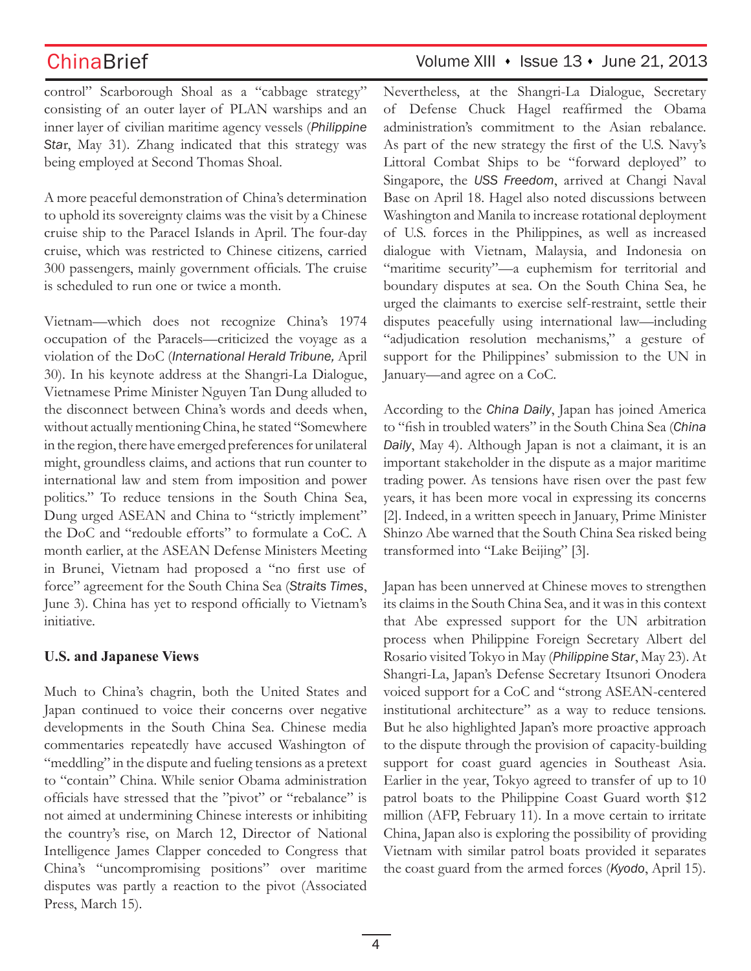control" Scarborough Shoal as a "cabbage strategy" consisting of an outer layer of PLAN warships and an inner layer of civilian maritime agency vessels (*Philippine Sta*r, May 31). Zhang indicated that this strategy was being employed at Second Thomas Shoal.

A more peaceful demonstration of China's determination to uphold its sovereignty claims was the visit by a Chinese cruise ship to the Paracel Islands in April. The four-day cruise, which was restricted to Chinese citizens, carried 300 passengers, mainly government officials. The cruise is scheduled to run one or twice a month.

Vietnam—which does not recognize China's 1974 occupation of the Paracels—criticized the voyage as a violation of the DoC (*International Herald Tribune,* April 30). In his keynote address at the Shangri-La Dialogue, Vietnamese Prime Minister Nguyen Tan Dung alluded to the disconnect between China's words and deeds when, without actually mentioning China, he stated "Somewhere in the region, there have emerged preferences for unilateral might, groundless claims, and actions that run counter to international law and stem from imposition and power politics." To reduce tensions in the South China Sea, Dung urged ASEAN and China to "strictly implement" the DoC and "redouble efforts" to formulate a CoC. A month earlier, at the ASEAN Defense Ministers Meeting in Brunei, Vietnam had proposed a "no first use of force" agreement for the South China Sea (*Straits Times*, June 3). China has yet to respond officially to Vietnam's initiative.

### **U.S. and Japanese Views**

Much to China's chagrin, both the United States and Japan continued to voice their concerns over negative developments in the South China Sea. Chinese media commentaries repeatedly have accused Washington of "meddling" in the dispute and fueling tensions as a pretext to "contain" China. While senior Obama administration officials have stressed that the "pivot" or "rebalance" is not aimed at undermining Chinese interests or inhibiting the country's rise, on March 12, Director of National Intelligence James Clapper conceded to Congress that China's "uncompromising positions" over maritime disputes was partly a reaction to the pivot (Associated Press, March 15).

### Nevertheless, at the Shangri-La Dialogue, Secretary of Defense Chuck Hagel reaffirmed the Obama administration's commitment to the Asian rebalance. As part of the new strategy the first of the U.S. Navy's Littoral Combat Ships to be "forward deployed" to Singapore, the *USS Freedom*, arrived at Changi Naval Base on April 18. Hagel also noted discussions between Washington and Manila to increase rotational deployment of U.S. forces in the Philippines, as well as increased dialogue with Vietnam, Malaysia, and Indonesia on "maritime security"—a euphemism for territorial and boundary disputes at sea. On the South China Sea, he urged the claimants to exercise self-restraint, settle their disputes peacefully using international law—including "adjudication resolution mechanisms," a gesture of support for the Philippines' submission to the UN in January—and agree on a CoC.

According to the *China Daily*, Japan has joined America to "fish in troubled waters" in the South China Sea (*China Daily*, May 4). Although Japan is not a claimant, it is an important stakeholder in the dispute as a major maritime trading power. As tensions have risen over the past few years, it has been more vocal in expressing its concerns [2]. Indeed, in a written speech in January, Prime Minister Shinzo Abe warned that the South China Sea risked being transformed into "Lake Beijing" [3].

Japan has been unnerved at Chinese moves to strengthen its claims in the South China Sea, and it was in this context that Abe expressed support for the UN arbitration process when Philippine Foreign Secretary Albert del Rosario visited Tokyo in May (*Philippine Star*, May 23). At Shangri-La, Japan's Defense Secretary Itsunori Onodera voiced support for a CoC and "strong ASEAN-centered institutional architecture" as a way to reduce tensions. But he also highlighted Japan's more proactive approach to the dispute through the provision of capacity-building support for coast guard agencies in Southeast Asia. Earlier in the year, Tokyo agreed to transfer of up to 10 patrol boats to the Philippine Coast Guard worth \$12 million (AFP, February 11). In a move certain to irritate China, Japan also is exploring the possibility of providing Vietnam with similar patrol boats provided it separates the coast guard from the armed forces (*Kyodo*, April 15).

# ChinaBrief Volume XIII • Issue 13 • June 21, 2013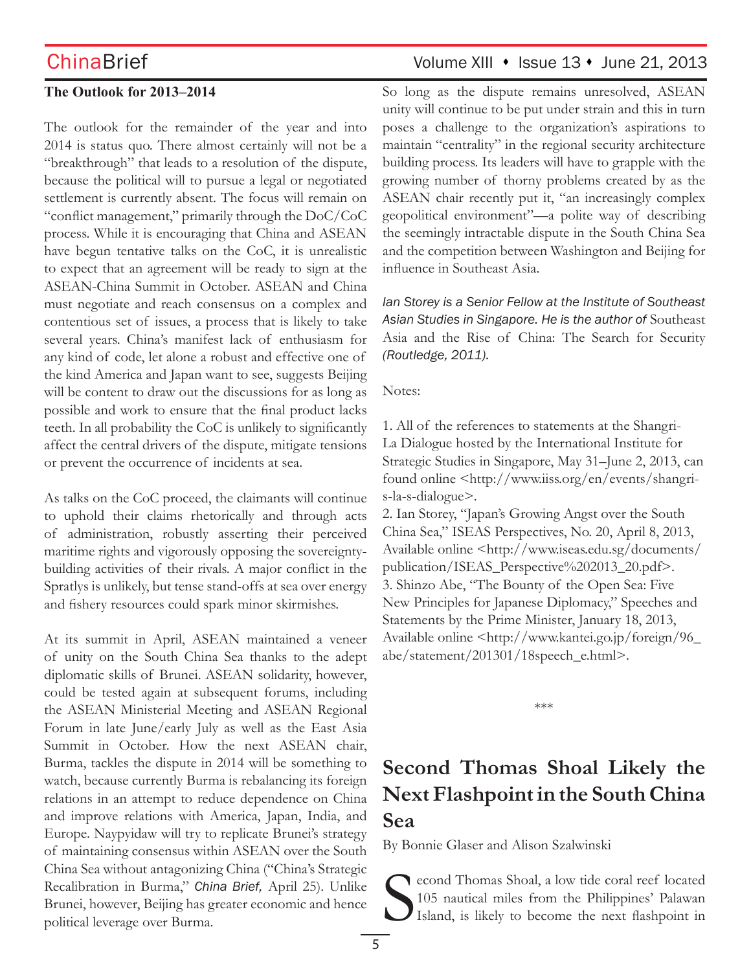### **The Outlook for 2013–2014**

The outlook for the remainder of the year and into 2014 is status quo. There almost certainly will not be a "breakthrough" that leads to a resolution of the dispute, because the political will to pursue a legal or negotiated settlement is currently absent. The focus will remain on "conflict management," primarily through the DoC/CoC process. While it is encouraging that China and ASEAN have begun tentative talks on the CoC, it is unrealistic to expect that an agreement will be ready to sign at the ASEAN-China Summit in October. ASEAN and China must negotiate and reach consensus on a complex and contentious set of issues, a process that is likely to take several years. China's manifest lack of enthusiasm for any kind of code, let alone a robust and effective one of the kind America and Japan want to see, suggests Beijing will be content to draw out the discussions for as long as possible and work to ensure that the final product lacks teeth. In all probability the CoC is unlikely to significantly affect the central drivers of the dispute, mitigate tensions or prevent the occurrence of incidents at sea.

As talks on the CoC proceed, the claimants will continue to uphold their claims rhetorically and through acts of administration, robustly asserting their perceived maritime rights and vigorously opposing the sovereigntybuilding activities of their rivals. A major conflict in the Spratlys is unlikely, but tense stand-offs at sea over energy and fishery resources could spark minor skirmishes.

At its summit in April, ASEAN maintained a veneer of unity on the South China Sea thanks to the adept diplomatic skills of Brunei. ASEAN solidarity, however, could be tested again at subsequent forums, including the ASEAN Ministerial Meeting and ASEAN Regional Forum in late June/early July as well as the East Asia Summit in October. How the next ASEAN chair, Burma, tackles the dispute in 2014 will be something to watch, because currently Burma is rebalancing its foreign relations in an attempt to reduce dependence on China and improve relations with America, Japan, India, and Europe. Naypyidaw will try to replicate Brunei's strategy of maintaining consensus within ASEAN over the South China Sea without antagonizing China ("China's Strategic Recalibration in Burma," *China Brief,* April 25). Unlike Brunei, however, Beijing has greater economic and hence political leverage over Burma.

# $China Brief$  Volume XIII  $\cdot$  Issue 13  $\cdot$  June 21, 2013

So long as the dispute remains unresolved, ASEAN unity will continue to be put under strain and this in turn poses a challenge to the organization's aspirations to maintain "centrality" in the regional security architecture building process. Its leaders will have to grapple with the growing number of thorny problems created by as the ASEAN chair recently put it, "an increasingly complex geopolitical environment"—a polite way of describing the seemingly intractable dispute in the South China Sea and the competition between Washington and Beijing for influence in Southeast Asia.

*Ian Storey is a Senior Fellow at the Institute of Southeast Asian Studies in Singapore. He is the author of* Southeast Asia and the Rise of China: The Search for Security *(Routledge, 2011).*

Notes:

1. All of the references to statements at the Shangri-La Dialogue hosted by the International Institute for Strategic Studies in Singapore, May 31–June 2, 2013, can found online <http://www.iiss.org/en/events/shangris-la-s-dialogue>.

2. Ian Storey, "Japan's Growing Angst over the South China Sea," ISEAS Perspectives, No. 20, April 8, 2013, Available online <http://www.iseas.edu.sg/documents/ publication/ISEAS\_Perspective%202013\_20.pdf>. 3. Shinzo Abe, "The Bounty of the Open Sea: Five New Principles for Japanese Diplomacy," Speeches and Statements by the Prime Minister, January 18, 2013, Available online <http://www.kantei.go.jp/foreign/96\_ abe/statement/201301/18speech\_e.html>.

\*\*\*

# **Second Thomas Shoal Likely the Next Flashpoint in the South China Sea**

By Bonnie Glaser and Alison Szalwinski

S econd Thomas Shoal, a low tide coral reef located 105 nautical miles from the Philippines' Palawan Island, is likely to become the next flashpoint in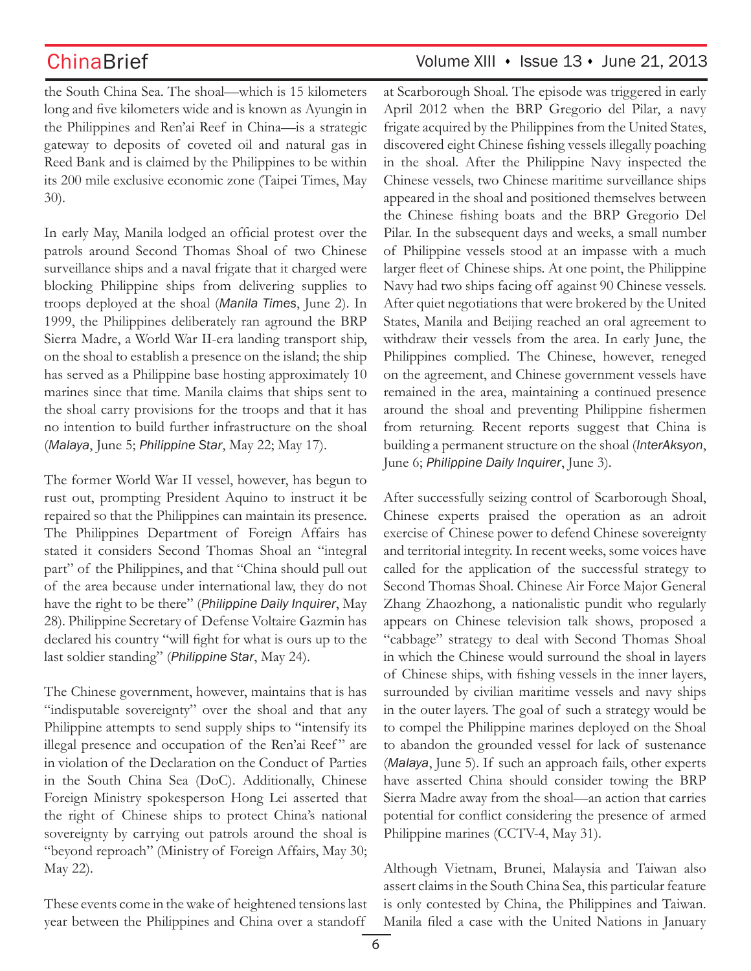# ChinaBrief Volume XIII • Issue 13 • June 21, 2013

the South China Sea. The shoal—which is 15 kilometers long and five kilometers wide and is known as Ayungin in the Philippines and Ren'ai Reef in China—is a strategic gateway to deposits of coveted oil and natural gas in Reed Bank and is claimed by the Philippines to be within its 200 mile exclusive economic zone (Taipei Times, May 30).

In early May, Manila lodged an official protest over the patrols around Second Thomas Shoal of two Chinese surveillance ships and a naval frigate that it charged were blocking Philippine ships from delivering supplies to troops deployed at the shoal (*Manila Times*, June 2). In 1999, the Philippines deliberately ran aground the BRP Sierra Madre, a World War II-era landing transport ship, on the shoal to establish a presence on the island; the ship has served as a Philippine base hosting approximately 10 marines since that time. Manila claims that ships sent to the shoal carry provisions for the troops and that it has no intention to build further infrastructure on the shoal (*Malaya*, June 5; *Philippine Star*, May 22; May 17).

The former World War II vessel, however, has begun to rust out, prompting President Aquino to instruct it be repaired so that the Philippines can maintain its presence. The Philippines Department of Foreign Affairs has stated it considers Second Thomas Shoal an "integral part" of the Philippines, and that "China should pull out of the area because under international law, they do not have the right to be there" (*Philippine Daily Inquirer*, May 28). Philippine Secretary of Defense Voltaire Gazmin has declared his country "will fight for what is ours up to the last soldier standing" (*Philippine Star*, May 24).

The Chinese government, however, maintains that is has "indisputable sovereignty" over the shoal and that any Philippine attempts to send supply ships to "intensify its illegal presence and occupation of the Ren'ai Reef" are in violation of the Declaration on the Conduct of Parties in the South China Sea (DoC). Additionally, Chinese Foreign Ministry spokesperson Hong Lei asserted that the right of Chinese ships to protect China's national sovereignty by carrying out patrols around the shoal is "beyond reproach" (Ministry of Foreign Affairs, May 30; May 22).

These events come in the wake of heightened tensions last year between the Philippines and China over a standoff

at Scarborough Shoal. The episode was triggered in early April 2012 when the BRP Gregorio del Pilar, a navy frigate acquired by the Philippines from the United States, discovered eight Chinese fishing vessels illegally poaching in the shoal. After the Philippine Navy inspected the Chinese vessels, two Chinese maritime surveillance ships appeared in the shoal and positioned themselves between the Chinese fishing boats and the BRP Gregorio Del Pilar. In the subsequent days and weeks, a small number of Philippine vessels stood at an impasse with a much larger fleet of Chinese ships. At one point, the Philippine Navy had two ships facing off against 90 Chinese vessels. After quiet negotiations that were brokered by the United States, Manila and Beijing reached an oral agreement to withdraw their vessels from the area. In early June, the Philippines complied. The Chinese, however, reneged on the agreement, and Chinese government vessels have remained in the area, maintaining a continued presence around the shoal and preventing Philippine fishermen from returning. Recent reports suggest that China is building a permanent structure on the shoal (*InterAksyon*, June 6; *Philippine Daily Inquirer*, June 3).

After successfully seizing control of Scarborough Shoal, Chinese experts praised the operation as an adroit exercise of Chinese power to defend Chinese sovereignty and territorial integrity. In recent weeks, some voices have called for the application of the successful strategy to Second Thomas Shoal. Chinese Air Force Major General Zhang Zhaozhong, a nationalistic pundit who regularly appears on Chinese television talk shows, proposed a "cabbage" strategy to deal with Second Thomas Shoal in which the Chinese would surround the shoal in layers of Chinese ships, with fishing vessels in the inner layers, surrounded by civilian maritime vessels and navy ships in the outer layers. The goal of such a strategy would be to compel the Philippine marines deployed on the Shoal to abandon the grounded vessel for lack of sustenance (*Malaya*, June 5). If such an approach fails, other experts have asserted China should consider towing the BRP Sierra Madre away from the shoal—an action that carries potential for conflict considering the presence of armed Philippine marines (CCTV-4, May 31).

Although Vietnam, Brunei, Malaysia and Taiwan also assert claims in the South China Sea, this particular feature is only contested by China, the Philippines and Taiwan. Manila filed a case with the United Nations in January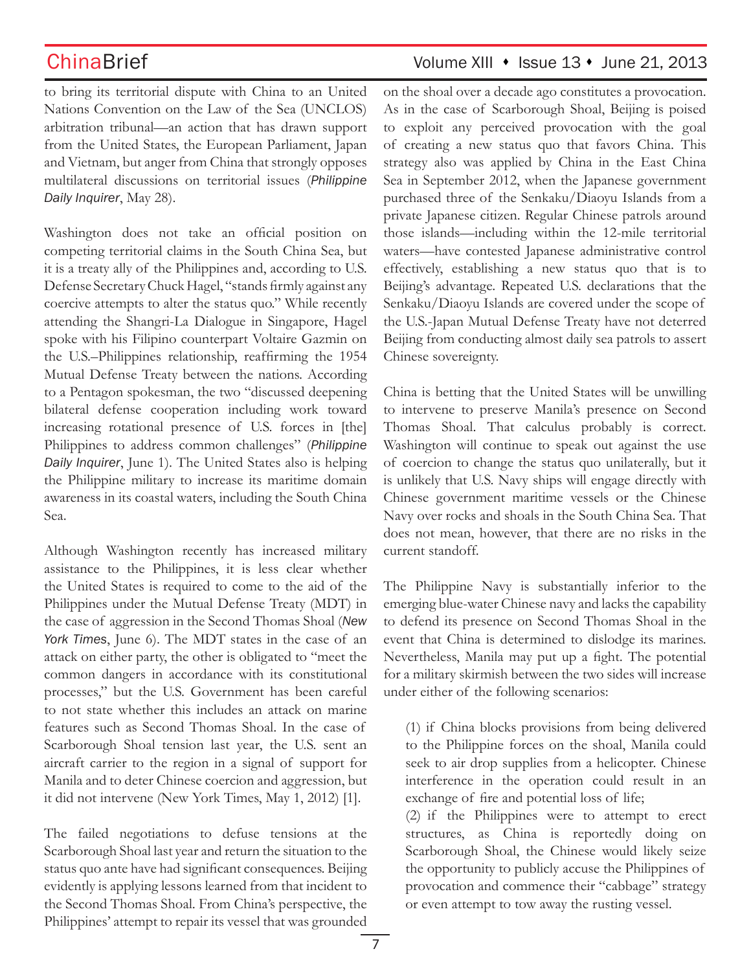$China Brief$  Volume XIII  $\cdot$  Issue 13  $\cdot$  June 21, 2013

to bring its territorial dispute with China to an United Nations Convention on the Law of the Sea (UNCLOS) arbitration tribunal—an action that has drawn support from the United States, the European Parliament, Japan and Vietnam, but anger from China that strongly opposes multilateral discussions on territorial issues (*Philippine Daily Inquirer*, May 28).

Washington does not take an official position on competing territorial claims in the South China Sea, but it is a treaty ally of the Philippines and, according to U.S. Defense Secretary Chuck Hagel, "stands firmly against any coercive attempts to alter the status quo." While recently attending the Shangri-La Dialogue in Singapore, Hagel spoke with his Filipino counterpart Voltaire Gazmin on the U.S.–Philippines relationship, reaffirming the 1954 Mutual Defense Treaty between the nations. According to a Pentagon spokesman, the two "discussed deepening bilateral defense cooperation including work toward increasing rotational presence of U.S. forces in [the] Philippines to address common challenges" (*Philippine Daily Inquirer*, June 1). The United States also is helping the Philippine military to increase its maritime domain awareness in its coastal waters, including the South China Sea.

Although Washington recently has increased military assistance to the Philippines, it is less clear whether the United States is required to come to the aid of the Philippines under the Mutual Defense Treaty (MDT) in the case of aggression in the Second Thomas Shoal (*New York Times*, June 6). The MDT states in the case of an attack on either party, the other is obligated to "meet the common dangers in accordance with its constitutional processes," but the U.S. Government has been careful to not state whether this includes an attack on marine features such as Second Thomas Shoal. In the case of Scarborough Shoal tension last year, the U.S. sent an aircraft carrier to the region in a signal of support for Manila and to deter Chinese coercion and aggression, but it did not intervene (New York Times, May 1, 2012) [1].

The failed negotiations to defuse tensions at the Scarborough Shoal last year and return the situation to the status quo ante have had significant consequences. Beijing evidently is applying lessons learned from that incident to the Second Thomas Shoal. From China's perspective, the Philippines' attempt to repair its vessel that was grounded

on the shoal over a decade ago constitutes a provocation. As in the case of Scarborough Shoal, Beijing is poised to exploit any perceived provocation with the goal of creating a new status quo that favors China. This strategy also was applied by China in the East China Sea in September 2012, when the Japanese government purchased three of the Senkaku/Diaoyu Islands from a private Japanese citizen. Regular Chinese patrols around those islands—including within the 12-mile territorial waters—have contested Japanese administrative control effectively, establishing a new status quo that is to Beijing's advantage. Repeated U.S. declarations that the Senkaku/Diaoyu Islands are covered under the scope of the U.S.-Japan Mutual Defense Treaty have not deterred Beijing from conducting almost daily sea patrols to assert Chinese sovereignty.

China is betting that the United States will be unwilling to intervene to preserve Manila's presence on Second Thomas Shoal. That calculus probably is correct. Washington will continue to speak out against the use of coercion to change the status quo unilaterally, but it is unlikely that U.S. Navy ships will engage directly with Chinese government maritime vessels or the Chinese Navy over rocks and shoals in the South China Sea. That does not mean, however, that there are no risks in the current standoff.

The Philippine Navy is substantially inferior to the emerging blue-water Chinese navy and lacks the capability to defend its presence on Second Thomas Shoal in the event that China is determined to dislodge its marines. Nevertheless, Manila may put up a fight. The potential for a military skirmish between the two sides will increase under either of the following scenarios:

(1) if China blocks provisions from being delivered to the Philippine forces on the shoal, Manila could seek to air drop supplies from a helicopter. Chinese interference in the operation could result in an exchange of fire and potential loss of life;

(2) if the Philippines were to attempt to erect structures, as China is reportedly doing on Scarborough Shoal, the Chinese would likely seize the opportunity to publicly accuse the Philippines of provocation and commence their "cabbage" strategy or even attempt to tow away the rusting vessel.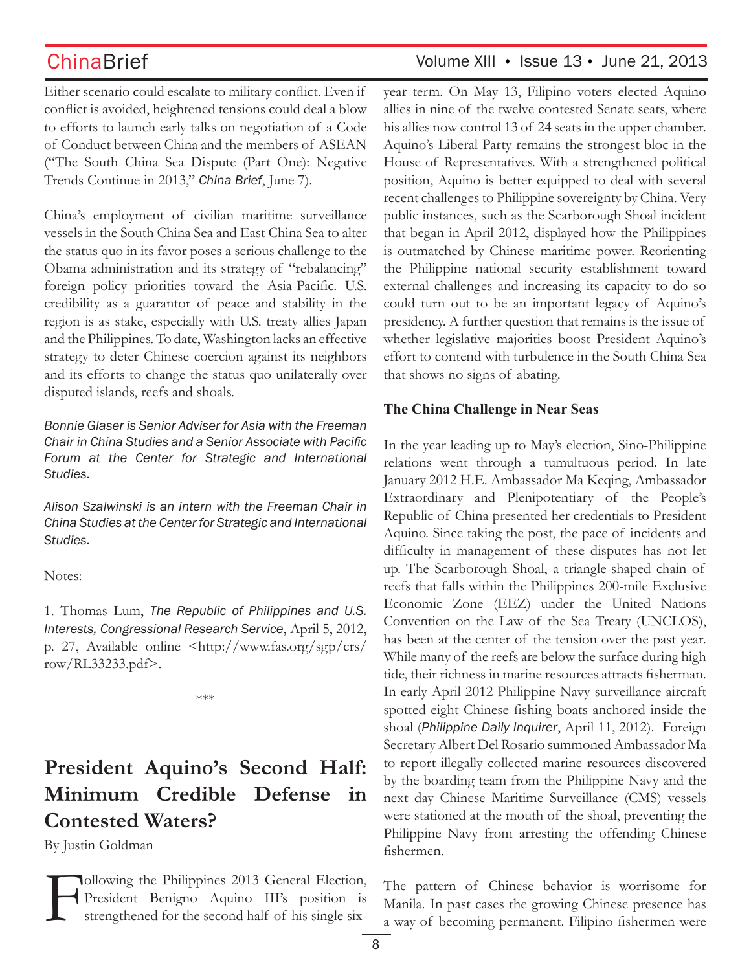Either scenario could escalate to military conflict. Even if conflict is avoided, heightened tensions could deal a blow to efforts to launch early talks on negotiation of a Code of Conduct between China and the members of ASEAN ("The South China Sea Dispute (Part One): Negative Trends Continue in 2013," *China Brief*, June 7).

China's employment of civilian maritime surveillance vessels in the South China Sea and East China Sea to alter the status quo in its favor poses a serious challenge to the Obama administration and its strategy of "rebalancing" foreign policy priorities toward the Asia-Pacific. U.S. credibility as a guarantor of peace and stability in the region is as stake, especially with U.S. treaty allies Japan and the Philippines. To date, Washington lacks an effective strategy to deter Chinese coercion against its neighbors and its efforts to change the status quo unilaterally over disputed islands, reefs and shoals.

*Bonnie Glaser is Senior Adviser for Asia with the Freeman Chair in China Studies and a Senior Associate with Pacific Forum at the Center for Strategic and International Studies.*

*Alison Szalwinski is an intern with the Freeman Chair in China Studies at the Center for Strategic and International Studies.* 

Notes:

1. Thomas Lum, *The Republic of Philippines and U.S. Interests, Congressional Research Service*, April 5, 2012, p. 27, Available online <http://www.fas.org/sgp/crs/ row/RL33233.pdf>.

\*\*\*

# **President Aquino's Second Half: Minimum Credible Defense in Contested Waters?**

By Justin Goldman

Following the Philippines 2013 General Election,<br>President Benigno Aquino III's position is<br>strengthened for the second half of his single six-President Benigno Aquino III's position is strengthened for the second half of his single six-

# ChinaBrief Volume XIII • Issue 13 • June 21, 2013

year term. On May 13, Filipino voters elected Aquino allies in nine of the twelve contested Senate seats, where his allies now control 13 of 24 seats in the upper chamber. Aquino's Liberal Party remains the strongest bloc in the House of Representatives. With a strengthened political position, Aquino is better equipped to deal with several recent challenges to Philippine sovereignty by China. Very public instances, such as the Scarborough Shoal incident that began in April 2012, displayed how the Philippines is outmatched by Chinese maritime power. Reorienting the Philippine national security establishment toward external challenges and increasing its capacity to do so could turn out to be an important legacy of Aquino's presidency. A further question that remains is the issue of whether legislative majorities boost President Aquino's effort to contend with turbulence in the South China Sea that shows no signs of abating.

### **The China Challenge in Near Seas**

In the year leading up to May's election, Sino-Philippine relations went through a tumultuous period. In late January 2012 H.E. Ambassador Ma Keqing, Ambassador Extraordinary and Plenipotentiary of the People's Republic of China presented her credentials to President Aquino. Since taking the post, the pace of incidents and difficulty in management of these disputes has not let up. The Scarborough Shoal, a triangle-shaped chain of reefs that falls within the Philippines 200-mile Exclusive Economic Zone (EEZ) under the United Nations Convention on the Law of the Sea Treaty (UNCLOS), has been at the center of the tension over the past year. While many of the reefs are below the surface during high tide, their richness in marine resources attracts fisherman. In early April 2012 Philippine Navy surveillance aircraft spotted eight Chinese fishing boats anchored inside the shoal (*Philippine Daily Inquirer*, April 11, 2012). Foreign Secretary Albert Del Rosario summoned Ambassador Ma to report illegally collected marine resources discovered by the boarding team from the Philippine Navy and the next day Chinese Maritime Surveillance (CMS) vessels were stationed at the mouth of the shoal, preventing the Philippine Navy from arresting the offending Chinese fishermen.

The pattern of Chinese behavior is worrisome for Manila. In past cases the growing Chinese presence has a way of becoming permanent. Filipino fishermen were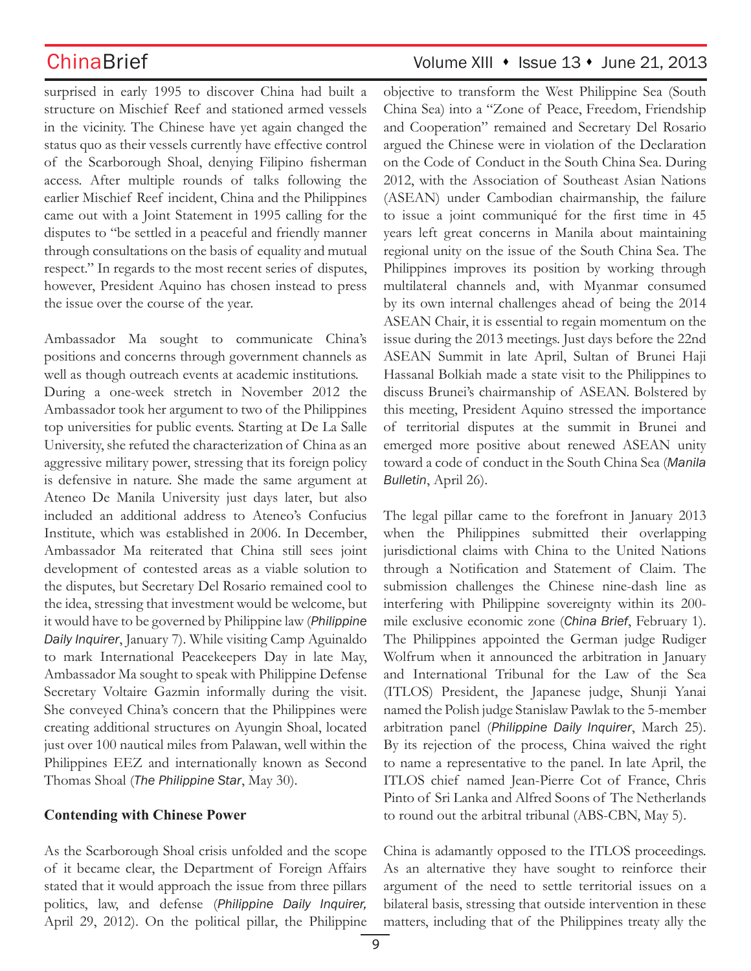surprised in early 1995 to discover China had built a structure on Mischief Reef and stationed armed vessels in the vicinity. The Chinese have yet again changed the status quo as their vessels currently have effective control of the Scarborough Shoal, denying Filipino fisherman access. After multiple rounds of talks following the earlier Mischief Reef incident, China and the Philippines came out with a Joint Statement in 1995 calling for the disputes to "be settled in a peaceful and friendly manner through consultations on the basis of equality and mutual respect." In regards to the most recent series of disputes, however, President Aquino has chosen instead to press the issue over the course of the year.

Ambassador Ma sought to communicate China's positions and concerns through government channels as well as though outreach events at academic institutions. During a one-week stretch in November 2012 the Ambassador took her argument to two of the Philippines top universities for public events. Starting at De La Salle University, she refuted the characterization of China as an aggressive military power, stressing that its foreign policy is defensive in nature. She made the same argument at Ateneo De Manila University just days later, but also included an additional address to Ateneo's Confucius Institute, which was established in 2006. In December, Ambassador Ma reiterated that China still sees joint development of contested areas as a viable solution to the disputes, but Secretary Del Rosario remained cool to the idea, stressing that investment would be welcome, but it would have to be governed by Philippine law (*Philippine Daily Inquirer*, January 7). While visiting Camp Aguinaldo to mark International Peacekeepers Day in late May, Ambassador Ma sought to speak with Philippine Defense Secretary Voltaire Gazmin informally during the visit. She conveyed China's concern that the Philippines were creating additional structures on Ayungin Shoal, located just over 100 nautical miles from Palawan, well within the Philippines EEZ and internationally known as Second Thomas Shoal (*The Philippine Star*, May 30).

### **Contending with Chinese Power**

As the Scarborough Shoal crisis unfolded and the scope of it became clear, the Department of Foreign Affairs stated that it would approach the issue from three pillars politics, law, and defense (*Philippine Daily Inquirer,*  April 29, 2012). On the political pillar, the Philippine

## $China Brief$  Volume XIII  $\cdot$  Issue 13  $\cdot$  June 21, 2013

objective to transform the West Philippine Sea (South China Sea) into a "Zone of Peace, Freedom, Friendship and Cooperation" remained and Secretary Del Rosario argued the Chinese were in violation of the Declaration on the Code of Conduct in the South China Sea. During 2012, with the Association of Southeast Asian Nations (ASEAN) under Cambodian chairmanship, the failure to issue a joint communiqué for the first time in 45 years left great concerns in Manila about maintaining regional unity on the issue of the South China Sea. The Philippines improves its position by working through multilateral channels and, with Myanmar consumed by its own internal challenges ahead of being the 2014 ASEAN Chair, it is essential to regain momentum on the issue during the 2013 meetings. Just days before the 22nd ASEAN Summit in late April, Sultan of Brunei Haji Hassanal Bolkiah made a state visit to the Philippines to discuss Brunei's chairmanship of ASEAN. Bolstered by this meeting, President Aquino stressed the importance of territorial disputes at the summit in Brunei and emerged more positive about renewed ASEAN unity toward a code of conduct in the South China Sea (*Manila Bulletin*, April 26).

The legal pillar came to the forefront in January 2013 when the Philippines submitted their overlapping jurisdictional claims with China to the United Nations through a Notification and Statement of Claim. The submission challenges the Chinese nine-dash line as interfering with Philippine sovereignty within its 200 mile exclusive economic zone (*China Brief*, February 1). The Philippines appointed the German judge Rudiger Wolfrum when it announced the arbitration in January and International Tribunal for the Law of the Sea (ITLOS) President, the Japanese judge, Shunji Yanai named the Polish judge Stanislaw Pawlak to the 5-member arbitration panel (*Philippine Daily Inquirer*, March 25). By its rejection of the process, China waived the right to name a representative to the panel. In late April, the ITLOS chief named Jean-Pierre Cot of France, Chris Pinto of Sri Lanka and Alfred Soons of The Netherlands to round out the arbitral tribunal (ABS-CBN, May 5).

China is adamantly opposed to the ITLOS proceedings. As an alternative they have sought to reinforce their argument of the need to settle territorial issues on a bilateral basis, stressing that outside intervention in these matters, including that of the Philippines treaty ally the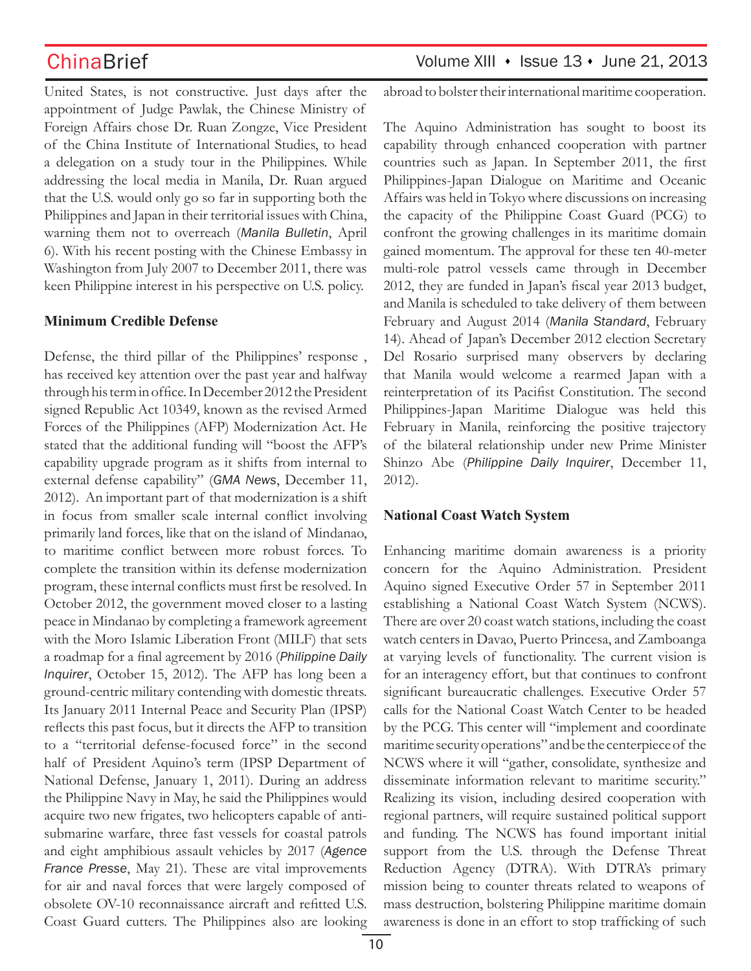United States, is not constructive. Just days after the appointment of Judge Pawlak, the Chinese Ministry of Foreign Affairs chose Dr. Ruan Zongze, Vice President of the China Institute of International Studies, to head a delegation on a study tour in the Philippines. While addressing the local media in Manila, Dr. Ruan argued that the U.S. would only go so far in supporting both the Philippines and Japan in their territorial issues with China, warning them not to overreach (*Manila Bulletin*, April 6). With his recent posting with the Chinese Embassy in Washington from July 2007 to December 2011, there was keen Philippine interest in his perspective on U.S. policy.

### **Minimum Credible Defense**

Defense, the third pillar of the Philippines' response , has received key attention over the past year and halfway through his term in office. In December 2012 the President signed Republic Act 10349, known as the revised Armed Forces of the Philippines (AFP) Modernization Act. He stated that the additional funding will "boost the AFP's capability upgrade program as it shifts from internal to external defense capability" (*GMA News*, December 11, 2012). An important part of that modernization is a shift in focus from smaller scale internal conflict involving primarily land forces, like that on the island of Mindanao, to maritime conflict between more robust forces. To complete the transition within its defense modernization program, these internal conflicts must first be resolved. In October 2012, the government moved closer to a lasting peace in Mindanao by completing a framework agreement with the Moro Islamic Liberation Front (MILF) that sets a roadmap for a final agreement by 2016 (*Philippine Daily Inquirer*, October 15, 2012). The AFP has long been a ground-centric military contending with domestic threats. Its January 2011 Internal Peace and Security Plan (IPSP) reflects this past focus, but it directs the AFP to transition to a "territorial defense-focused force" in the second half of President Aquino's term (IPSP Department of National Defense, January 1, 2011). During an address the Philippine Navy in May, he said the Philippines would acquire two new frigates, two helicopters capable of antisubmarine warfare, three fast vessels for coastal patrols and eight amphibious assault vehicles by 2017 (*Agence France Presse*, May 21). These are vital improvements for air and naval forces that were largely composed of obsolete OV-10 reconnaissance aircraft and refitted U.S. Coast Guard cutters. The Philippines also are looking abroad to bolster their international maritime cooperation.

The Aquino Administration has sought to boost its capability through enhanced cooperation with partner countries such as Japan. In September 2011, the first Philippines-Japan Dialogue on Maritime and Oceanic Affairs was held in Tokyo where discussions on increasing the capacity of the Philippine Coast Guard (PCG) to confront the growing challenges in its maritime domain gained momentum. The approval for these ten 40-meter multi-role patrol vessels came through in December 2012, they are funded in Japan's fiscal year 2013 budget, and Manila is scheduled to take delivery of them between February and August 2014 (*Manila Standard*, February 14). Ahead of Japan's December 2012 election Secretary Del Rosario surprised many observers by declaring that Manila would welcome a rearmed Japan with a reinterpretation of its Pacifist Constitution. The second Philippines-Japan Maritime Dialogue was held this February in Manila, reinforcing the positive trajectory of the bilateral relationship under new Prime Minister Shinzo Abe (*Philippine Daily Inquirer*, December 11, 2012).

### **National Coast Watch System**

Enhancing maritime domain awareness is a priority concern for the Aquino Administration. President Aquino signed Executive Order 57 in September 2011 establishing a National Coast Watch System (NCWS). There are over 20 coast watch stations, including the coast watch centers in Davao, Puerto Princesa, and Zamboanga at varying levels of functionality. The current vision is for an interagency effort, but that continues to confront significant bureaucratic challenges. Executive Order 57 calls for the National Coast Watch Center to be headed by the PCG. This center will "implement and coordinate maritime security operations" and be the centerpiece of the NCWS where it will "gather, consolidate, synthesize and disseminate information relevant to maritime security." Realizing its vision, including desired cooperation with regional partners, will require sustained political support and funding. The NCWS has found important initial support from the U.S. through the Defense Threat Reduction Agency (DTRA). With DTRA's primary mission being to counter threats related to weapons of mass destruction, bolstering Philippine maritime domain awareness is done in an effort to stop trafficking of such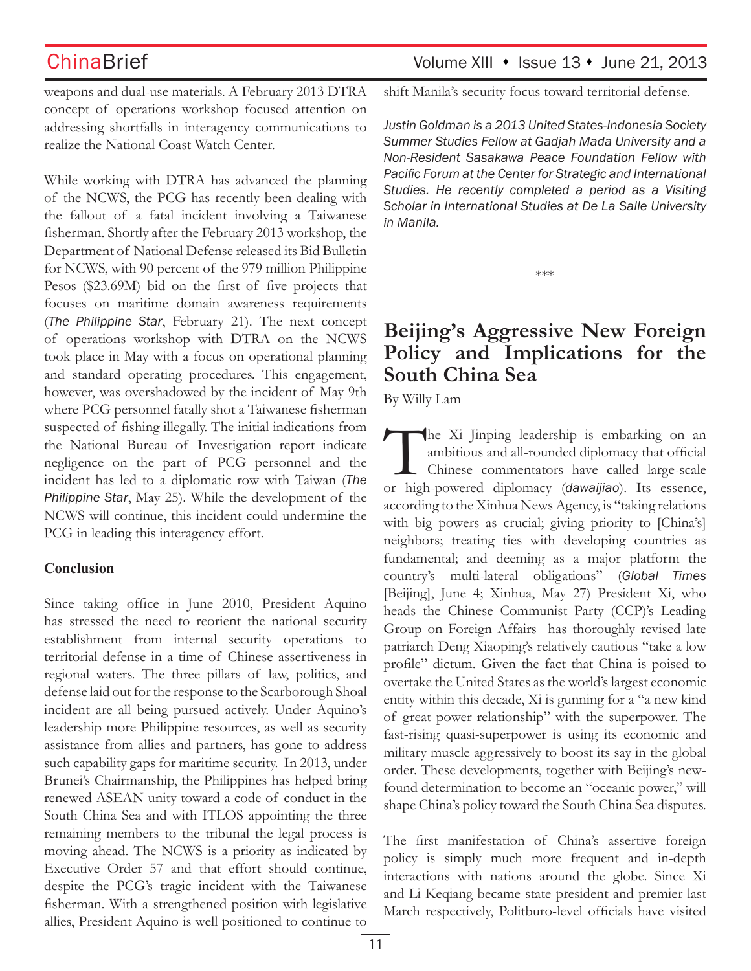$China Brief$  Volume XIII  $\cdot$  Issue 13  $\cdot$  June 21, 2013

weapons and dual-use materials. A February 2013 DTRA concept of operations workshop focused attention on addressing shortfalls in interagency communications to realize the National Coast Watch Center.

While working with DTRA has advanced the planning of the NCWS, the PCG has recently been dealing with the fallout of a fatal incident involving a Taiwanese fisherman. Shortly after the February 2013 workshop, the Department of National Defense released its Bid Bulletin for NCWS, with 90 percent of the 979 million Philippine Pesos (\$23.69M) bid on the first of five projects that focuses on maritime domain awareness requirements (*The Philippine Star*, February 21). The next concept of operations workshop with DTRA on the NCWS took place in May with a focus on operational planning and standard operating procedures. This engagement, however, was overshadowed by the incident of May 9th where PCG personnel fatally shot a Taiwanese fisherman suspected of fishing illegally. The initial indications from the National Bureau of Investigation report indicate negligence on the part of PCG personnel and the incident has led to a diplomatic row with Taiwan (*The Philippine Star*, May 25). While the development of the NCWS will continue, this incident could undermine the PCG in leading this interagency effort.

### **Conclusion**

Since taking office in June 2010, President Aquino has stressed the need to reorient the national security establishment from internal security operations to territorial defense in a time of Chinese assertiveness in regional waters. The three pillars of law, politics, and defense laid out for the response to the Scarborough Shoal incident are all being pursued actively. Under Aquino's leadership more Philippine resources, as well as security assistance from allies and partners, has gone to address such capability gaps for maritime security. In 2013, under Brunei's Chairmanship, the Philippines has helped bring renewed ASEAN unity toward a code of conduct in the South China Sea and with ITLOS appointing the three remaining members to the tribunal the legal process is moving ahead. The NCWS is a priority as indicated by Executive Order 57 and that effort should continue, despite the PCG's tragic incident with the Taiwanese fisherman. With a strengthened position with legislative allies, President Aquino is well positioned to continue to shift Manila's security focus toward territorial defense.

*Justin Goldman is a 2013 United States-Indonesia Society Summer Studies Fellow at Gadjah Mada University and a Non-Resident Sasakawa Peace Foundation Fellow with Pacific Forum at the Center for Strategic and International Studies. He recently completed a period as a Visiting Scholar in International Studies at De La Salle University in Manila.*

\*\*\*

# **Beijing's Aggressive New Foreign Policy and Implications for the South China Sea**

By Willy Lam

The Xi Jinping leadership is embarking on an ambitious and all-rounded diplomacy that official<br>Chinese commentators have called large-scale<br>or high-powered diplomacy (dawaiiiao). Its essence, ambitious and all-rounded diplomacy that official Chinese commentators have called large-scale or high-powered diplomacy (*dawaijiao*). Its essence, according to the Xinhua News Agency, is "taking relations with big powers as crucial; giving priority to [China's] neighbors; treating ties with developing countries as fundamental; and deeming as a major platform the country's multi-lateral obligations" (*Global Times* [Beijing], June 4; Xinhua, May 27) President Xi, who heads the Chinese Communist Party (CCP)'s Leading Group on Foreign Affairs has thoroughly revised late patriarch Deng Xiaoping's relatively cautious "take a low profile" dictum. Given the fact that China is poised to overtake the United States as the world's largest economic entity within this decade, Xi is gunning for a "a new kind of great power relationship" with the superpower. The fast-rising quasi-superpower is using its economic and military muscle aggressively to boost its say in the global order. These developments, together with Beijing's newfound determination to become an "oceanic power," will shape China's policy toward the South China Sea disputes.

The first manifestation of China's assertive foreign policy is simply much more frequent and in-depth interactions with nations around the globe. Since Xi and Li Keqiang became state president and premier last March respectively, Politburo-level officials have visited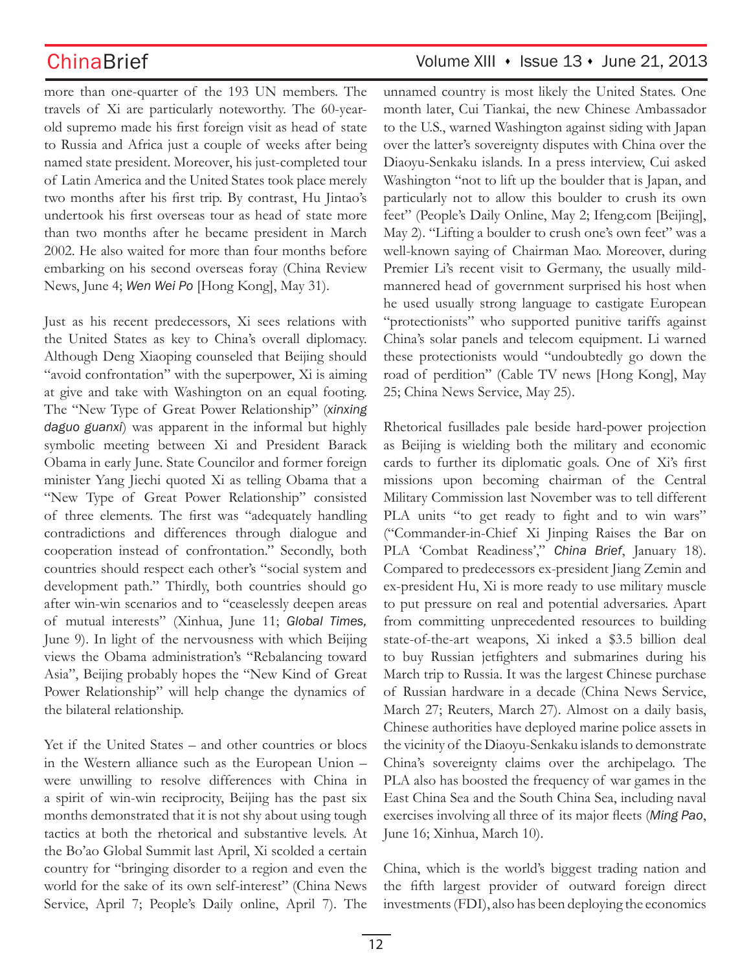more than one-quarter of the 193 UN members. The travels of Xi are particularly noteworthy. The 60-yearold supremo made his first foreign visit as head of state to Russia and Africa just a couple of weeks after being named state president. Moreover, his just-completed tour of Latin America and the United States took place merely two months after his first trip. By contrast, Hu Jintao's undertook his first overseas tour as head of state more than two months after he became president in March 2002. He also waited for more than four months before embarking on his second overseas foray (China Review News, June 4; *Wen Wei Po* [Hong Kong], May 31).

Just as his recent predecessors, Xi sees relations with the United States as key to China's overall diplomacy. Although Deng Xiaoping counseled that Beijing should "avoid confrontation" with the superpower, Xi is aiming at give and take with Washington on an equal footing. The "New Type of Great Power Relationship" (*xinxing daguo guanxi*) was apparent in the informal but highly symbolic meeting between Xi and President Barack Obama in early June. State Councilor and former foreign minister Yang Jiechi quoted Xi as telling Obama that a "New Type of Great Power Relationship" consisted of three elements. The first was "adequately handling contradictions and differences through dialogue and cooperation instead of confrontation." Secondly, both countries should respect each other's "social system and development path." Thirdly, both countries should go after win-win scenarios and to "ceaselessly deepen areas of mutual interests" (Xinhua, June 11; *Global Times,*  June 9). In light of the nervousness with which Beijing views the Obama administration's "Rebalancing toward Asia", Beijing probably hopes the "New Kind of Great Power Relationship" will help change the dynamics of the bilateral relationship.

Yet if the United States – and other countries or blocs in the Western alliance such as the European Union – were unwilling to resolve differences with China in a spirit of win-win reciprocity, Beijing has the past six months demonstrated that it is not shy about using tough tactics at both the rhetorical and substantive levels. At the Bo'ao Global Summit last April, Xi scolded a certain country for "bringing disorder to a region and even the world for the sake of its own self-interest" (China News Service, April 7; People's Daily online, April 7). The

## ChinaBrief Volume XIII • Issue 13 • June 21, 2013

unnamed country is most likely the United States. One month later, Cui Tiankai, the new Chinese Ambassador to the U.S., warned Washington against siding with Japan over the latter's sovereignty disputes with China over the Diaoyu-Senkaku islands. In a press interview, Cui asked Washington "not to lift up the boulder that is Japan, and particularly not to allow this boulder to crush its own feet" (People's Daily Online, May 2; Ifeng.com [Beijing], May 2). "Lifting a boulder to crush one's own feet" was a well-known saying of Chairman Mao. Moreover, during Premier Li's recent visit to Germany, the usually mildmannered head of government surprised his host when he used usually strong language to castigate European "protectionists" who supported punitive tariffs against China's solar panels and telecom equipment. Li warned these protectionists would "undoubtedly go down the road of perdition" (Cable TV news [Hong Kong], May 25; China News Service, May 25).

Rhetorical fusillades pale beside hard-power projection as Beijing is wielding both the military and economic cards to further its diplomatic goals. One of Xi's first missions upon becoming chairman of the Central Military Commission last November was to tell different PLA units "to get ready to fight and to win wars" ("Commander-in-Chief Xi Jinping Raises the Bar on PLA 'Combat Readiness'," *China Brief*, January 18). Compared to predecessors ex-president Jiang Zemin and ex-president Hu, Xi is more ready to use military muscle to put pressure on real and potential adversaries. Apart from committing unprecedented resources to building state-of-the-art weapons, Xi inked a \$3.5 billion deal to buy Russian jetfighters and submarines during his March trip to Russia. It was the largest Chinese purchase of Russian hardware in a decade (China News Service, March 27; Reuters, March 27). Almost on a daily basis, Chinese authorities have deployed marine police assets in the vicinity of the Diaoyu-Senkaku islands to demonstrate China's sovereignty claims over the archipelago. The PLA also has boosted the frequency of war games in the East China Sea and the South China Sea, including naval exercises involving all three of its major fleets (*Ming Pao*, June 16; Xinhua, March 10).

China, which is the world's biggest trading nation and the fifth largest provider of outward foreign direct investments (FDI), also has been deploying the economics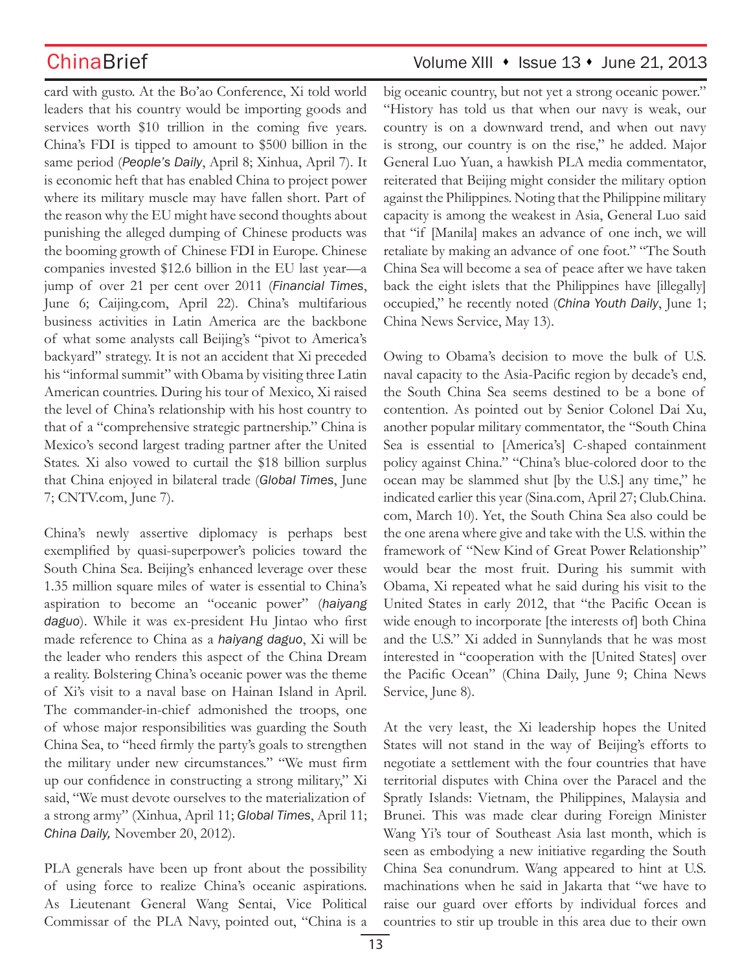card with gusto. At the Bo'ao Conference, Xi told world leaders that his country would be importing goods and services worth \$10 trillion in the coming five years. China's FDI is tipped to amount to \$500 billion in the same period (*People's Daily*, April 8; Xinhua, April 7). It is economic heft that has enabled China to project power where its military muscle may have fallen short. Part of the reason why the EU might have second thoughts about punishing the alleged dumping of Chinese products was the booming growth of Chinese FDI in Europe. Chinese companies invested \$12.6 billion in the EU last year—a jump of over 21 per cent over 2011 (*Financial Times*, June 6; Caijing.com, April 22). China's multifarious business activities in Latin America are the backbone of what some analysts call Beijing's "pivot to America's backyard" strategy. It is not an accident that Xi preceded his "informal summit" with Obama by visiting three Latin American countries. During his tour of Mexico, Xi raised the level of China's relationship with his host country to that of a "comprehensive strategic partnership." China is Mexico's second largest trading partner after the United States. Xi also vowed to curtail the \$18 billion surplus that China enjoyed in bilateral trade (*Global Times*, June 7; CNTV.com, June 7).

China's newly assertive diplomacy is perhaps best exemplified by quasi-superpower's policies toward the South China Sea. Beijing's enhanced leverage over these 1.35 million square miles of water is essential to China's aspiration to become an "oceanic power" (*haiyang daguo*). While it was ex-president Hu Jintao who first made reference to China as a *haiyang daguo*, Xi will be the leader who renders this aspect of the China Dream a reality. Bolstering China's oceanic power was the theme of Xi's visit to a naval base on Hainan Island in April. The commander-in-chief admonished the troops, one of whose major responsibilities was guarding the South China Sea, to "heed firmly the party's goals to strengthen the military under new circumstances." "We must firm up our confidence in constructing a strong military," Xi said, "We must devote ourselves to the materialization of a strong army" (Xinhua, April 11; *Global Times*, April 11; *China Daily,* November 20, 2012).

PLA generals have been up front about the possibility of using force to realize China's oceanic aspirations. As Lieutenant General Wang Sentai, Vice Political Commissar of the PLA Navy, pointed out, "China is a

# $China Brief$  Volume XIII  $\cdot$  Issue 13  $\cdot$  June 21, 2013

big oceanic country, but not yet a strong oceanic power." "History has told us that when our navy is weak, our country is on a downward trend, and when out navy is strong, our country is on the rise," he added. Major General Luo Yuan, a hawkish PLA media commentator, reiterated that Beijing might consider the military option against the Philippines. Noting that the Philippine military capacity is among the weakest in Asia, General Luo said that "if [Manila] makes an advance of one inch, we will retaliate by making an advance of one foot." "The South China Sea will become a sea of peace after we have taken back the eight islets that the Philippines have [illegally] occupied," he recently noted (*China Youth Daily*, June 1; China News Service, May 13).

Owing to Obama's decision to move the bulk of U.S. naval capacity to the Asia-Pacific region by decade's end, the South China Sea seems destined to be a bone of contention. As pointed out by Senior Colonel Dai Xu, another popular military commentator, the "South China Sea is essential to [America's] C-shaped containment policy against China." "China's blue-colored door to the ocean may be slammed shut [by the U.S.] any time," he indicated earlier this year (Sina.com, April 27; Club.China. com, March 10). Yet, the South China Sea also could be the one arena where give and take with the U.S. within the framework of "New Kind of Great Power Relationship" would bear the most fruit. During his summit with Obama, Xi repeated what he said during his visit to the United States in early 2012, that "the Pacific Ocean is wide enough to incorporate [the interests of] both China and the U.S." Xi added in Sunnylands that he was most interested in "cooperation with the [United States] over the Pacific Ocean" (China Daily, June 9; China News Service, June 8).

At the very least, the Xi leadership hopes the United States will not stand in the way of Beijing's efforts to negotiate a settlement with the four countries that have territorial disputes with China over the Paracel and the Spratly Islands: Vietnam, the Philippines, Malaysia and Brunei. This was made clear during Foreign Minister Wang Yi's tour of Southeast Asia last month, which is seen as embodying a new initiative regarding the South China Sea conundrum. Wang appeared to hint at U.S. machinations when he said in Jakarta that "we have to raise our guard over efforts by individual forces and countries to stir up trouble in this area due to their own